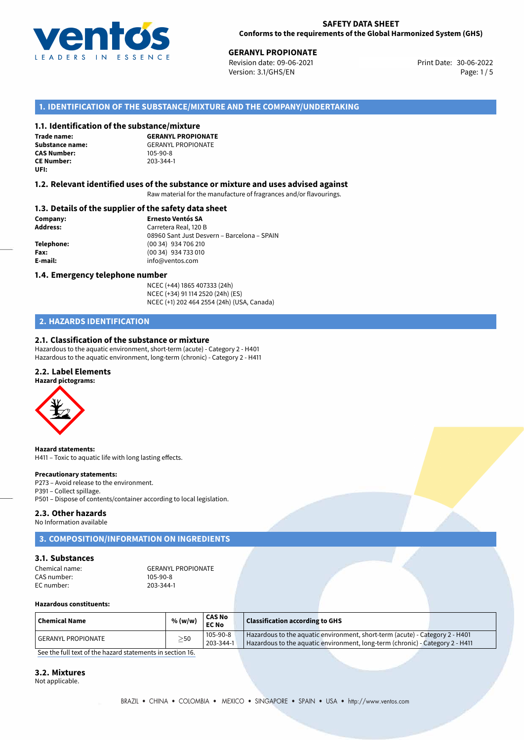

**30 - GERANYL PROPIONATE**<br>30-06-2022 Revision date: 09-06-2021 Print Date: 30-06-2022 Version: 3.1/GHS/EN Page: 1 / 5

## **1. IDENTIFICATION OF THE SUBSTANCE/MIXTURE AND THE COMPANY/UNDERTAKING**

### **1.1. Identification of the substance/mixture**

**Trade name: CAS Number: CE Number:** 203-344-1 **UFI:**

**GERANYL PROPIONATE Substance name:** GERANYL PROPIONATE<br> **CAS Number:** 105-90-8

#### **1.2. Relevant identified uses of the substance or mixture and uses advised against**

Raw material for the manufacture of fragrances and/or flavourings.

### **1.3. Details of the supplier of the safety data sheet**

**Company: Ernesto Ventós SA Address:** Carretera Real, 120 B 08960 Sant Just Desvern – Barcelona – SPAIN **Telephone:** (00 34) 934 706 210 **Fax:** (00 34) 934 733 010 **E-mail:** info@ventos.com

#### **1.4. Emergency telephone number**

NCEC (+44) 1865 407333 (24h) NCEC (+34) 91 114 2520 (24h) (ES) NCEC (+1) 202 464 2554 (24h) (USA, Canada)

## **2. HAZARDS IDENTIFICATION**

#### **2.1. Classification of the substance or mixture**

Hazardous to the aquatic environment, short-term (acute) - Category 2 - H401 Hazardous to the aquatic environment, long-term (chronic) - Category 2 - H411

#### **2.2. Label Elements**

**Hazard pictograms:**



**Hazard statements:** H411 – Toxic to aquatic life with long lasting effects.

#### **Precautionary statements:**

P273 – Avoid release to the environment. P391 – Collect spillage. P501 – Dispose of contents/container according to local legislation.

# **2.3. Other hazards**

No Information available

## **3. COMPOSITION/INFORMATION ON INGREDIENTS**

## **3.1. Substances**

CAS number: 105-90-8<br>EC number: 203-344-1 EC number:

Chemical name: GERANYL PROPIONATE<br>CAS number: 105-90-8

#### **Hazardous constituents:**

| <sup> </sup> Chemical Name | % (w/w)   | <b>CAS No</b><br>EC No | <b>Classification according to GHS</b>                                                                                                                        |
|----------------------------|-----------|------------------------|---------------------------------------------------------------------------------------------------------------------------------------------------------------|
| l GERANYL PROPIONATE       | $\geq$ 50 | 105-90-8<br>203-344-1  | Hazardous to the aquatic environment, short-term (acute) - Category 2 - H401<br>Hazardous to the aquatic environment, long-term (chronic) - Category 2 - H411 |

[See the full text of the hazard statements in section 16.](#page--1-0)

#### **3.2. Mixtures**

Not applicable.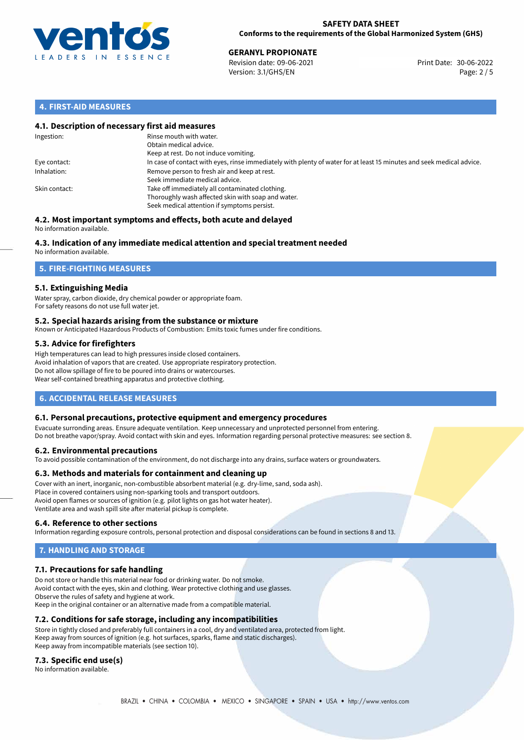

30-06-2022 **GERANYL PROPIONATE** Revision date: 09-06-2021 Print Date: Version: 3.1/GHS/EN Page: 2 / 5

## **4. FIRST-AID MEASURES**

## **4.1. Description of necessary first aid measures**

| Ingestion:    | Rinse mouth with water.<br>Obtain medical advice.<br>Keep at rest. Do not induce vomiting.                                                           |
|---------------|------------------------------------------------------------------------------------------------------------------------------------------------------|
| Eye contact:  | In case of contact with eyes, rinse immediately with plenty of water for at least 15 minutes and seek medical advice.                                |
| Inhalation:   | Remove person to fresh air and keep at rest.<br>Seek immediate medical advice.                                                                       |
| Skin contact: | Take off immediately all contaminated clothing.<br>Thoroughly wash affected skin with soap and water.<br>Seek medical attention if symptoms persist. |

#### **4.2. Most important symptoms and effects, both acute and delayed** No information available.

# **4.3. Indication of any immediate medical attention and special treatment needed**

No information available.

## **5. FIRE-FIGHTING MEASURES**

## **5.1. Extinguishing Media**

Water spray, carbon dioxide, dry chemical powder or appropriate foam. For safety reasons do not use full water jet.

## **5.2. Special hazards arising from the substance or mixture**

Known or Anticipated Hazardous Products of Combustion: Emits toxic fumes under fire conditions.

## **5.3. Advice for firefighters**

High temperatures can lead to high pressures inside closed containers. Avoid inhalation of vapors that are created. Use appropriate respiratory protection. Do not allow spillage of fire to be poured into drains or watercourses. Wear self-contained breathing apparatus and protective clothing.

## **6. ACCIDENTAL RELEASE MEASURES**

## **6.1. Personal precautions, protective equipment and emergency procedures**

Evacuate surronding areas. Ensure adequate ventilation. Keep unnecessary and unprotected personnel from entering. Do not breathe vapor/spray. Avoid contact with skin and eyes. Information regarding personal protective measures: see section 8.

## **6.2. Environmental precautions**

To avoid possible contamination of the environment, do not discharge into any drains, surface waters or groundwaters.

## **6.3. Methods and materials for containment and cleaning up**

Cover with an inert, inorganic, non-combustible absorbent material (e.g. dry-lime, sand, soda ash). Place in covered containers using non-sparking tools and transport outdoors. Avoid open flames or sources of ignition (e.g. pilot lights on gas hot water heater). Ventilate area and wash spill site after material pickup is complete.

## **6.4. Reference to other sections**

Information regarding exposure controls, personal protection and disposal considerations can be found in sections 8 and 13.

# **7. HANDLING AND STORAGE**

## **7.1. Precautions for safe handling**

Do not store or handle this material near food or drinking water. Do not smoke. Avoid contact with the eyes, skin and clothing. Wear protective clothing and use glasses. Observe the rules of safety and hygiene at work. Keep in the original container or an alternative made from a compatible material.

## **7.2. Conditions for safe storage, including any incompatibilities**

Store in tightly closed and preferably full containers in a cool, dry and ventilated area, protected from light. Keep away from sources of ignition (e.g. hot surfaces, sparks, flame and static discharges). Keep away from incompatible materials (see section 10).

## **7.3. Specific end use(s)**

No information available.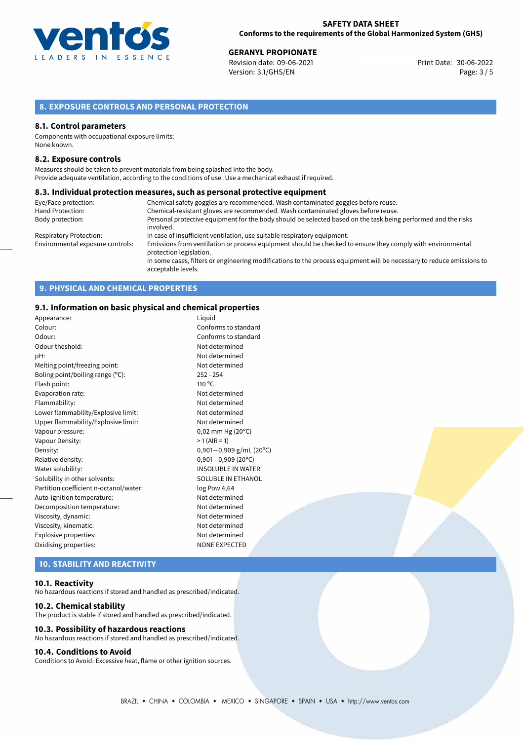

30-06-2022 **GERANYL PROPIONATE** Revision date: 09-06-2021 Print Date: Version: 3.1/GHS/EN Page: 3 / 5

## **8. EXPOSURE CONTROLS AND PERSONAL PROTECTION**

#### **8.1. Control parameters**

Components with occupational exposure limits: None known.

#### **8.2. Exposure controls**

Measures should be taken to prevent materials from being splashed into the body. Provide adequate ventilation, according to the conditions of use. Use a mechanical exhaust if required.

#### **8.3. Individual protection measures, such as personal protective equipment**

| Eye/Face protection:             | Chemical safety goggles are recommended. Wash contaminated goggles before reuse.                                                            |
|----------------------------------|---------------------------------------------------------------------------------------------------------------------------------------------|
| Hand Protection:                 | Chemical-resistant gloves are recommended. Wash contaminated gloves before reuse.                                                           |
| Body protection:                 | Personal protective equipment for the body should be selected based on the task being performed and the risks                               |
|                                  | involved.                                                                                                                                   |
| <b>Respiratory Protection:</b>   | In case of insufficient ventilation, use suitable respiratory equipment.                                                                    |
| Environmental exposure controls: | Emissions from ventilation or process equipment should be checked to ensure they comply with environmental<br>protection legislation.       |
|                                  | In some cases, filters or engineering modifications to the process equipment will be necessary to reduce emissions to<br>acceptable levels. |

## **9. PHYSICAL AND CHEMICAL PROPERTIES**

## **9.1. Information on basic physical and chemical properties**

| Appearance:                            | Liguid                         |
|----------------------------------------|--------------------------------|
| Colour:                                | Conforms to standard           |
|                                        |                                |
| Odour:                                 | Conforms to standard           |
| Odour theshold:                        | Not determined                 |
| pH:                                    | Not determined                 |
| Melting point/freezing point:          | Not determined                 |
| Boling point/boiling range (°C):       | $252 - 254$                    |
| Flash point:                           | $110^{\circ}$ C                |
| Evaporation rate:                      | Not determined                 |
| Flammability:                          | Not determined                 |
| Lower flammability/Explosive limit:    | Not determined                 |
| Upper flammability/Explosive limit:    | Not determined                 |
| Vapour pressure:                       | $0,02$ mm Hg (20 $^{\circ}$ C) |
| Vapour Density:                        | $>1$ (AIR = 1)                 |
| Density:                               | 0,901-0,909 g/mL (20°C)        |
| Relative density:                      | $0,901 - 0,909$ (20°C)         |
| Water solubility:                      | <b>INSOLUBLE IN WATER</b>      |
| Solubility in other solvents:          | SOLUBLE IN ETHANOL             |
| Partition coefficient n-octanol/water: | log Pow 4,64                   |
| Auto-ignition temperature:             | Not determined                 |
| Decomposition temperature:             | Not determined                 |
| Viscosity, dynamic:                    | Not determined                 |
| Viscosity, kinematic:                  | Not determined                 |
| Explosive properties:                  | Not determined                 |
| Oxidising properties:                  | <b>NONE EXPECTED</b>           |
|                                        |                                |

# **10. STABILITY AND REACTIVITY**

#### **10.1. Reactivity**

No hazardous reactions if stored and handled as prescribed/indicated.

#### **10.2. Chemical stability**

The product is stable if stored and handled as prescribed/indicated.

## **10.3. Possibility of hazardous reactions**

No hazardous reactions if stored and handled as prescribed/indicated.

## **10.4. Conditions to Avoid**

Conditions to Avoid: Excessive heat, flame or other ignition sources.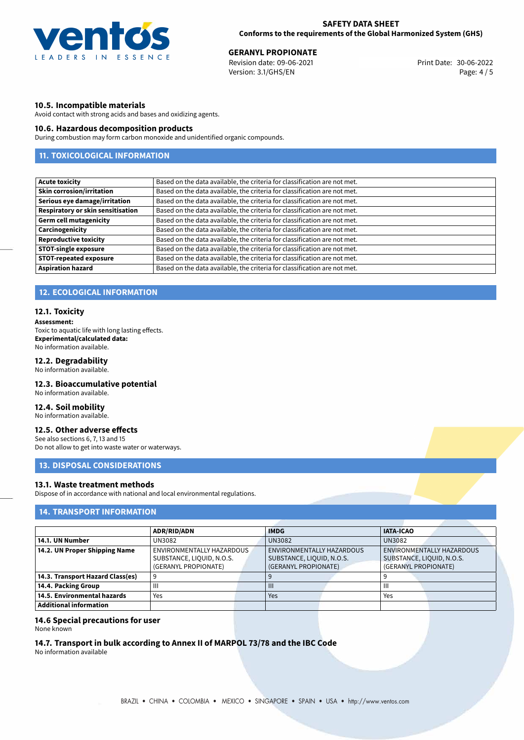

30-06-2022 **GERANYL PROPIONATE** Revision date: 09-06-2021 Print Date: Version: 3.1/GHS/EN Page: 4 / 5

## **10.5. Incompatible materials**

Avoid contact with strong acids and bases and oxidizing agents.

## **10.6. Hazardous decomposition products**

During combustion may form carbon monoxide and unidentified organic compounds.

# **11. TOXICOLOGICAL INFORMATION**

| Based on the data available, the criteria for classification are not met. |
|---------------------------------------------------------------------------|
| Based on the data available, the criteria for classification are not met. |
| Based on the data available, the criteria for classification are not met. |
| Based on the data available, the criteria for classification are not met. |
| Based on the data available, the criteria for classification are not met. |
| Based on the data available, the criteria for classification are not met. |
| Based on the data available, the criteria for classification are not met. |
| Based on the data available, the criteria for classification are not met. |
| Based on the data available, the criteria for classification are not met. |
| Based on the data available, the criteria for classification are not met. |
|                                                                           |

## **12. ECOLOGICAL INFORMATION**

### **12.1. Toxicity**

**Assessment:** Toxic to aquatic life with long lasting effects. **Experimental/calculated data:**

No information available.

## **12.2. Degradability**

No information available.

## **12.3. Bioaccumulative potential**

No information available.

## **12.4. Soil mobility**

No information available.

## **12.5. Other adverse effects**

See also sections 6, 7, 13 and 15 Do not allow to get into waste water or waterways.

## **13. DISPOSAL CONSIDERATIONS**

#### **13.1. Waste treatment methods**

Dispose of in accordance with national and local environmental regulations.

## **14. TRANSPORT INFORMATION**

|                                  | <b>ADR/RID/ADN</b>        |  | <b>IMDG</b>               |  | <b>IATA-ICAO</b>          |  |
|----------------------------------|---------------------------|--|---------------------------|--|---------------------------|--|
| 14.1. UN Number                  | UN3082                    |  | <b>UN3082</b>             |  | <b>UN3082</b>             |  |
| 14.2. UN Proper Shipping Name    | ENVIRONMENTALLY HAZARDOUS |  | ENVIRONMENTALLY HAZARDOUS |  | ENVIRONMENTALLY HAZARDOUS |  |
|                                  | SUBSTANCE, LIQUID, N.O.S. |  | SUBSTANCE, LIQUID, N.O.S. |  | SUBSTANCE, LIQUID, N.O.S. |  |
|                                  | (GERANYL PROPIONATE)      |  | (GERANYL PROPIONATE)      |  | (GERANYL PROPIONATE)      |  |
| 14.3. Transport Hazard Class(es) |                           |  |                           |  |                           |  |
| 14.4. Packing Group              | Ш                         |  | $\mathbf{III}$            |  | $\mathbf{III}$            |  |
| 14.5. Environmental hazards      | Yes                       |  | Yes                       |  | Yes                       |  |
| Additional information           |                           |  |                           |  |                           |  |

## **14.6 Special precautions for user**

None known

## **14.7. Transport in bulk according to Annex II of MARPOL 73/78 and the IBC Code**

No information available